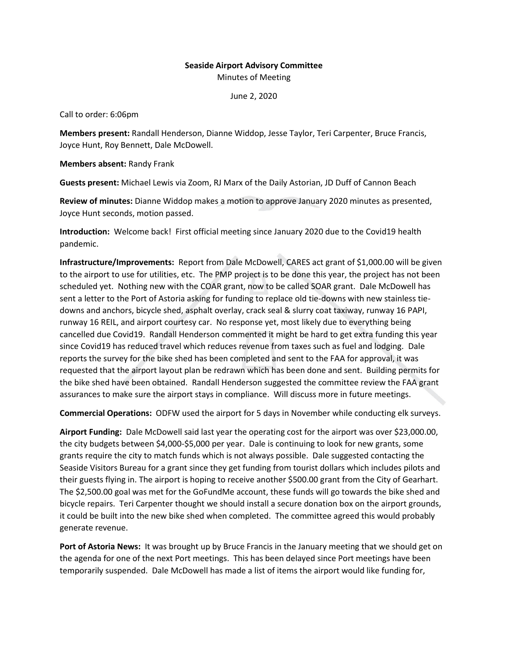## **Seaside Airport Advisory Committee** Minutes of Meeting

June 2, 2020

Call to order: 6:06pm

**Members present:** Randall Henderson, Dianne Widdop, Jesse Taylor, Teri Carpenter, Bruce Francis, Joyce Hunt, Roy Bennett, Dale McDowell.

**Members absent:** Randy Frank

**Guests present:** Michael Lewis via Zoom, RJ Marx of the Daily Astorian, JD Duff of Cannon Beach

**Review of minutes:** Dianne Widdop makes a motion to approve January 2020 minutes as presented, Joyce Hunt seconds, motion passed.

**Introduction:** Welcome back! First official meeting since January 2020 due to the Covid19 health pandemic.

**Infrastructure/Improvements:** Report from Dale McDowell, CARES act grant of \$1,000.00 will be given to the airport to use for utilities, etc. The PMP project is to be done this year, the project has not been scheduled yet. Nothing new with the COAR grant, now to be called SOAR grant. Dale McDowell has sent a letter to the Port of Astoria asking for funding to replace old tie-downs with new stainless tiedowns and anchors, bicycle shed, asphalt overlay, crack seal & slurry coat taxiway, runway 16 PAPI, runway 16 REIL, and airport courtesy car. No response yet, most likely due to everything being cancelled due Covid19. Randall Henderson commented it might be hard to get extra funding this year since Covid19 has reduced travel which reduces revenue from taxes such as fuel and lodging. Dale reports the survey for the bike shed has been completed and sent to the FAA for approval, it was requested that the airport layout plan be redrawn which has been done and sent. Building permits for the bike shed have been obtained. Randall Henderson suggested the committee review the FAA grant assurances to make sure the airport stays in compliance. Will discuss more in future meetings.

**Commercial Operations:** ODFW used the airport for 5 days in November while conducting elk surveys.

**Airport Funding:** Dale McDowell said last year the operating cost for the airport was over \$23,000.00, the city budgets between \$4,000-\$5,000 per year. Dale is continuing to look for new grants, some grants require the city to match funds which is not always possible. Dale suggested contacting the Seaside Visitors Bureau for a grant since they get funding from tourist dollars which includes pilots and their guests flying in. The airport is hoping to receive another \$500.00 grant from the City of Gearhart. The \$2,500.00 goal was met for the GoFundMe account, these funds will go towards the bike shed and bicycle repairs. Teri Carpenter thought we should install a secure donation box on the airport grounds, it could be built into the new bike shed when completed. The committee agreed this would probably generate revenue.

**Port of Astoria News:** It was brought up by Bruce Francis in the January meeting that we should get on the agenda for one of the next Port meetings. This has been delayed since Port meetings have been temporarily suspended. Dale McDowell has made a list of items the airport would like funding for,